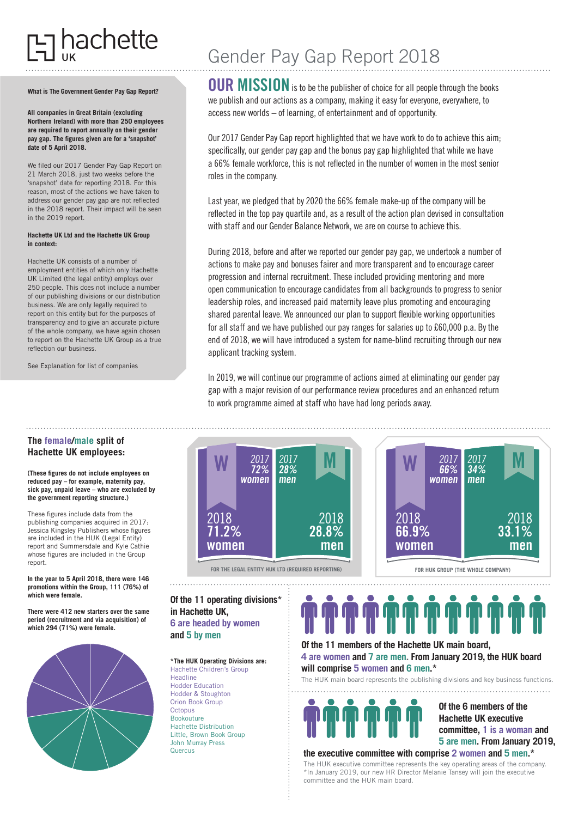# nachette

#### **What is The Government Gender Pay Gap Report?**

**All companies in Great Britain (excluding Northern Ireland) with more than 250 employees are required to report annually on their gender pay gap. The figures given are for a 'snapshot' date of 5 April 2018.**

We filed our 2017 Gender Pay Gap Report on 21 March 2018, just two weeks before the 'snapshot' date for reporting 2018. For this reason, most of the actions we have taken to address our gender pay gap are not reflected in the 2018 report. Their impact will be seen in the 2019 report.

#### **Hachette UK Ltd and the Hachette UK Group in context:**

Hachette UK consists of a number of employment entities of which only Hachette UK Limited (the legal entity) employs over 250 people. This does not include a number of our publishing divisions or our distribution business. We are only legally required to report on this entity but for the purposes of transparency and to give an accurate picture of the whole company, we have again chosen to report on the Hachette UK Group as a true reflection our business.

See Explanation for list of companies

## **The female/male split of Hachette UK employees:**

#### **(These figures do not include employees on reduced pay – for example, maternity pay, sick pay, unpaid leave – who are excluded by the government reporting structure.)**

These figures include data from the publishing companies acquired in 2017: Jessica Kingsley Publishers whose figures are included in the HUK (Legal Entity) report and Summersdale and Kyle Cathie whose figures are included in the Group report.

**In the year to 5 April 2018, there were 146 promotions within the Group, 111 (76%) of which were female.**

**There were 412 new starters over the same period (recruitment and via acquisition) of which 294 (71%) were female.**



# Gender Pay Gap Report 2018

**OUR MISSION**is to be the publisher of choice for all people through the books we publish and our actions as a company, making it easy for everyone, everywhere, to access new worlds – of learning, of entertainment and of opportunity.

Our 2017 Gender Pay Gap report highlighted that we have work to do to achieve this aim; specifically, our gender pay gap and the bonus pay gap highlighted that while we have a 66% female workforce, this is not reflected in the number of women in the most senior roles in the company.

Last year, we pledged that by 2020 the 66% female make-up of the company will be reflected in the top pay quartile and, as a result of the action plan devised in consultation with staff and our Gender Balance Network, we are on course to achieve this.

During 2018, before and after we reported our gender pay gap, we undertook a number of actions to make pay and bonuses fairer and more transparent and to encourage career progression and internal recruitment. These included providing mentoring and more open communication to encourage candidates from all backgrounds to progress to senior leadership roles, and increased paid maternity leave plus promoting and encouraging shared parental leave. We announced our plan to support flexible working opportunities for all staff and we have published our pay ranges for salaries up to £60,000 p.a. By the end of 2018, we will have introduced a system for name-blind recruiting through our new applicant tracking system.

In 2019, we will continue our programme of actions aimed at eliminating our gender pay gap with a major revision of our performance review procedures and an enhanced return to work programme aimed at staff who have had long periods away.



## **Of the 11 operating divisions\* in Hachette UK, 6 are headed by women**

**and 5 by men**

**\*The HUK Operating Divisions are:** Hachette Children's Group **Headline** Hodder Education Hodder & Stoughton Orion Book Group Octopus Bookouture Hachette Distribution Little, Brown Book Group John Murray Press Quercus

**Of the 11 members of the Hachette UK main board,** 

**4 are women and 7 are men. From January 2019, the HUK board will comprise 5 women and 6 men.\*** The HUK main board represents the publishing divisions and key business functions.



**Of the 6 members of the Hachette UK executive committee, 1 is a woman and 5 are men. From January 2019,** 

### **the executive committee with comprise 2 women and 5 men.\***

The HUK executive committee represents the key operating areas of the company. \*In January 2019, our new HR Director Melanie Tansey will join the executive committee and the HUK main board.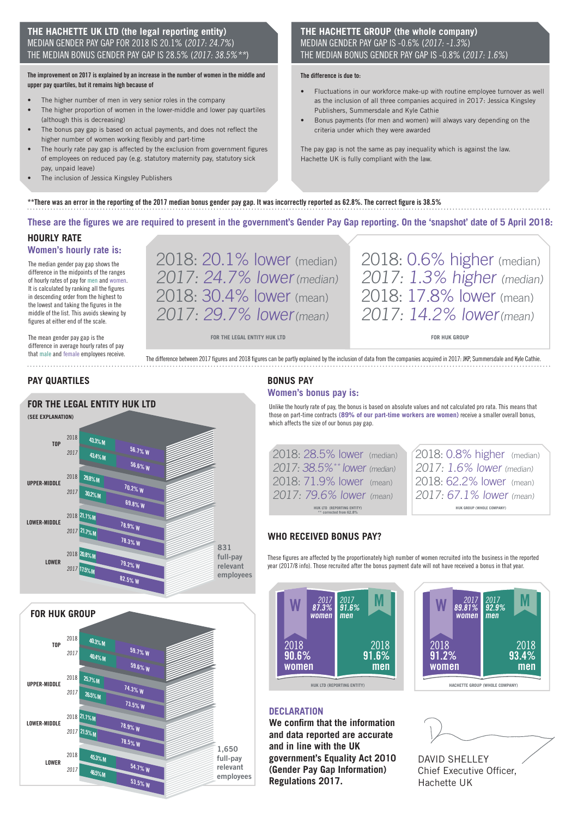## **THE HACHETTE UK LTD (the legal reporting entity)** MEDIAN GENDER PAY GAP FOR 2018 IS 20.1% (2017: 24.7%) THE MEDIAN BONUS GENDER PAY GAP IS 28.5% (2017: 38.5% \*\*

#### **The improvement on 2017 is explained by an increase in the number of women in the middle and upper pay quartiles, but it remains high because of**

- The higher number of men in very senior roles in the company
- The higher proportion of women in the lower-middle and lower pay quartiles (although this is decreasing)
- The bonus pay gap is based on actual payments, and does not reflect the higher number of women working flexibly and part-time
- The hourly rate pay gap is affected by the exclusion from government figures of employees on reduced pay (e.g. statutory maternity pay, statutory sick pay, unpaid leave)
- The inclusion of Jessica Kingsley Publishers

## **THE HACHETTE GROUP (the whole company)**  MEDIAN GENDER PAY GAP IS -0.6% (2017: -1.3%) THE MEDIAN BONUS GENDER PAY GAP IS -0.8% (2017: 1.6%)

#### **The difference is due to:**

- Fluctuations in our workforce make-up with routine employee turnover as well as the inclusion of all three companies acquired in 2017: Jessica Kingsley Publishers, Summersdale and Kyle Cathie
- Bonus payments (for men and women) will always vary depending on the criteria under which they were awarded

The pay gap is not the same as pay inequality which is against the law. Hachette UK is fully compliant with the law.

## **\*\*There was an error in the reporting of the 2017 median bonus gender pay gap. It was incorrectly reported as 62.8%. The correct figure is 38.5%**

**These are the figures we are required to present in the government's Gender Pay Gap reporting. On the 'snapshot' date of 5 April 2018:**

## **HOURLY RATE**

**Women's hourly rate is:**

The median gender pay gap shows the difference in the midpoints of the ranges of hourly rates of pay for men and women. It is calculated by ranking all the figures in descending order from the highest to the lowest and taking the figures in the middle of the list. This avoids skewing by figures at either end of the scale.

The mean gender pay gap is the difference in average hourly rates of pay that male and female employees receive. 2018: 20.1% lower (median) 2017: 24.7% lower (median) 2018: 30.4% lower (mean) 2017: 29.7% lower(mean)

**FOR THE LEGAL ENTITY HUK LTD FOR HUK GROUP**

2018: 17.8% lower (mean) 2017: 14.2% lower(mean)

2018: 0.6% higher (median) 2017: 1.3% higher (median)

The difference between 2017 figures and 2018 figures can be partly explained by the inclusion of data from the companies acquired in 2017: JKP, Summersdale and Kyle Cathie.

## **PAY QUARTILES**

## **FOR THE LEGAL ENTITY HUK LTD**





## **BONUS PAY**

## **Women's bonus pay is:**

Unlike the hourly rate of pay, the bonus is based on absolute values and not calculated pro rata. This means that those on part-time contracts **(89% of our part-time workers are women)** receive a smaller overall bonus, which affects the size of our bonus pay gap.

| 2018: 28.5% lower (median)                            |  |  |  |
|-------------------------------------------------------|--|--|--|
| 2017: 38.5% <sup>**</sup> lower (median)              |  |  |  |
| 2018: 71.9% lower (mean)                              |  |  |  |
| 2017: 79.6% lower (mean)                              |  |  |  |
| HUK LTD (REPORTING ENTITY)<br>** corrected from 62.8% |  |  |  |

|                           | 2018: 0.8% higher (median) |  |  |  |  |
|---------------------------|----------------------------|--|--|--|--|
| 2017: 1.6% lower (median) |                            |  |  |  |  |
|                           | 2018: 62.2% lower (mean)   |  |  |  |  |
|                           | 2017: 67.1% lower (mean)   |  |  |  |  |
| HUK GROUP (WHOLE COMPANY) |                            |  |  |  |  |

## **WHO RECEIVED BONUS PAY?**

These figures are affected by the proportionately high number of women recruited into the business in the reported year (2017/8 info). Those recruited after the bonus payment date will not have received a bonus in that year.





## **DECLARATION**

**We confirm that the information and data reported are accurate and in line with the UK government's Equality Act 2010 (Gender Pay Gap Information) Regulations 2017.**

DAVID SHELLEY Chief Executive Officer, Hachette UK